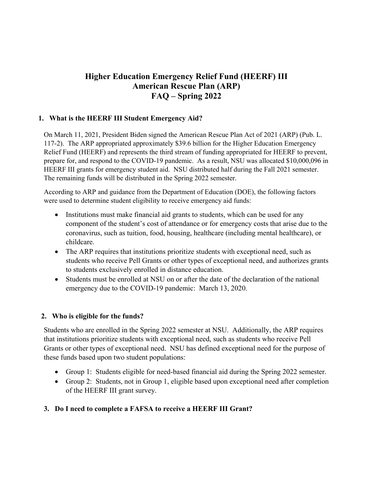# **Higher Education Emergency Relief Fund (HEERF) III American Rescue Plan (ARP) FAQ – Spring 2022**

#### **1. What is the HEERF III Student Emergency Aid?**

On March 11, 2021, President Biden signed the American Rescue Plan Act of 2021 (ARP) (Pub. L. 117-2). The ARP appropriated approximately \$39.6 billion for the Higher Education Emergency Relief Fund (HEERF) and represents the third stream of funding appropriated for HEERF to prevent, prepare for, and respond to the COVID-19 pandemic. As a result, NSU was allocated \$10,000,096 in HEERF III grants for emergency student aid. NSU distributed half during the Fall 2021 semester. The remaining funds will be distributed in the Spring 2022 semester.

According to ARP and guidance from the Department of Education (DOE), the following factors were used to determine student eligibility to receive emergency aid funds:

- Institutions must make financial aid grants to students, which can be used for any component of the student's cost of attendance or for emergency costs that arise due to the coronavirus, such as tuition, food, housing, healthcare (including mental healthcare), or childcare.
- The ARP requires that institutions prioritize students with exceptional need, such as students who receive Pell Grants or other types of exceptional need, and authorizes grants to students exclusively enrolled in distance education.
- Students must be enrolled at NSU on or after the date of the declaration of the national emergency due to the COVID-19 pandemic: March 13, 2020.

#### **2. Who is eligible for the funds?**

Students who are enrolled in the Spring 2022 semester at NSU. Additionally, the ARP requires that institutions prioritize students with exceptional need, such as students who receive Pell Grants or other types of exceptional need. NSU has defined exceptional need for the purpose of these funds based upon two student populations:

- Group 1: Students eligible for need-based financial aid during the Spring 2022 semester.
- Group 2: Students, not in Group 1, eligible based upon exceptional need after completion of the HEERF III grant survey.

# **3. Do I need to complete a FAFSA to receive a HEERF III Grant?**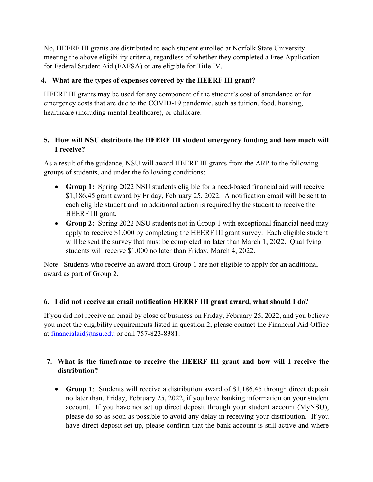No, HEERF III grants are distributed to each student enrolled at Norfolk State University meeting the above eligibility criteria, regardless of whether they completed a Free Application for Federal Student Aid (FAFSA) or are eligible for Title IV.

# **4. What are the types of expenses covered by the HEERF III grant?**

HEERF III grants may be used for any component of the student's cost of attendance or for emergency costs that are due to the COVID-19 pandemic, such as tuition, food, housing, healthcare (including mental healthcare), or childcare.

# **5. How will NSU distribute the HEERF III student emergency funding and how much will I receive?**

As a result of the guidance, NSU will award HEERF III grants from the ARP to the following groups of students, and under the following conditions:

- **Group 1:** Spring 2022 NSU students eligible for a need-based financial aid will receive \$1,186.45 grant award by Friday, February 25, 2022. A notification email will be sent to each eligible student and no additional action is required by the student to receive the HEERF III grant.
- **Group 2:** Spring 2022 NSU students not in Group 1 with exceptional financial need may apply to receive \$1,000 by completing the HEERF III grant survey. Each eligible student will be sent the survey that must be completed no later than March 1, 2022. Qualifying students will receive \$1,000 no later than Friday, March 4, 2022.

Note: Students who receive an award from Group 1 are not eligible to apply for an additional award as part of Group 2.

#### **6. I did not receive an email notification HEERF III grant award, what should I do?**

If you did not receive an email by close of business on Friday, February 25, 2022, and you believe you meet the eligibility requirements listed in question 2, please contact the Financial Aid Office at financialaid@nsu.edu or call 757-823-8381.

# **7. What is the timeframe to receive the HEERF III grant and how will I receive the distribution?**

 **Group 1**: Students will receive a distribution award of \$1,186.45 through direct deposit no later than, Friday, February 25, 2022, if you have banking information on your student account. If you have not set up direct deposit through your student account (MyNSU), please do so as soon as possible to avoid any delay in receiving your distribution. If you have direct deposit set up, please confirm that the bank account is still active and where